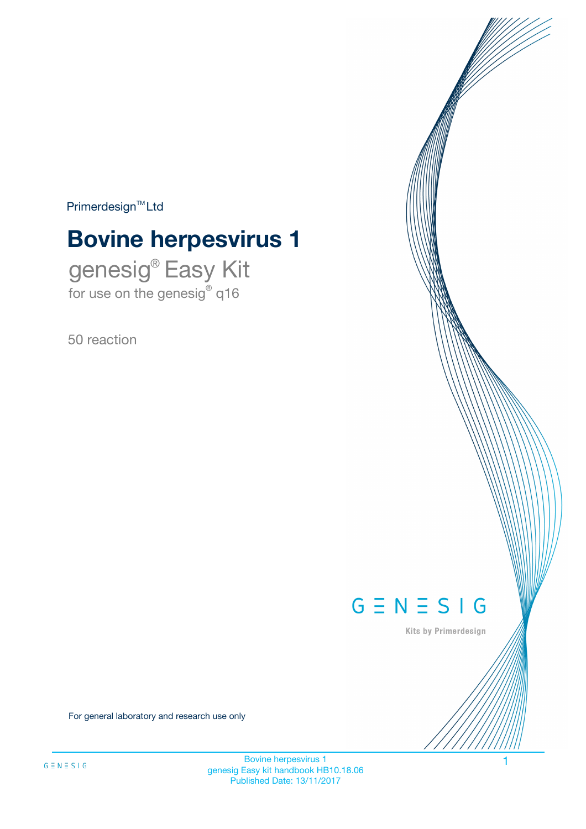$Primerdesign^{\text{TM}}Ltd$ 

# **Bovine herpesvirus 1**

genesig® Easy Kit for use on the genesig® q16

50 reaction



Kits by Primerdesign

For general laboratory and research use only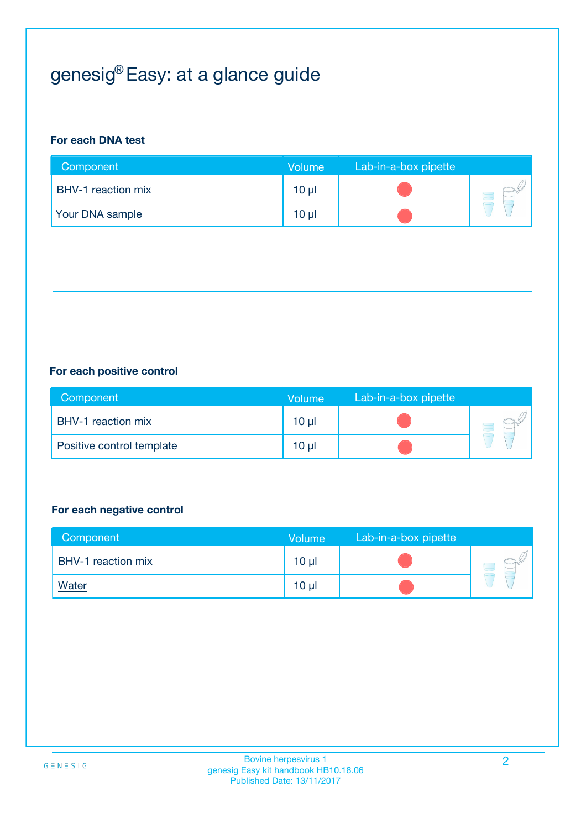## genesig® Easy: at a glance guide

## **For each DNA test**

| Component                 | <b>Volume</b> | Lab-in-a-box pipette |  |
|---------------------------|---------------|----------------------|--|
| <b>BHV-1</b> reaction mix | 10 µl         |                      |  |
| <b>Your DNA sample</b>    | $10 \mu$      |                      |  |

### **For each positive control**

| Component                 | Volume          | Lab-in-a-box pipette |  |
|---------------------------|-----------------|----------------------|--|
| BHV-1 reaction mix        | 10 <sub>µ</sub> |                      |  |
| Positive control template | $10 \mu$        |                      |  |

### **For each negative control**

| Component          | <b>Volume</b>   | Lab-in-a-box pipette |  |
|--------------------|-----------------|----------------------|--|
| BHV-1 reaction mix | 10 <sub>µ</sub> |                      |  |
| <b>Water</b>       | 10 <sub>µ</sub> |                      |  |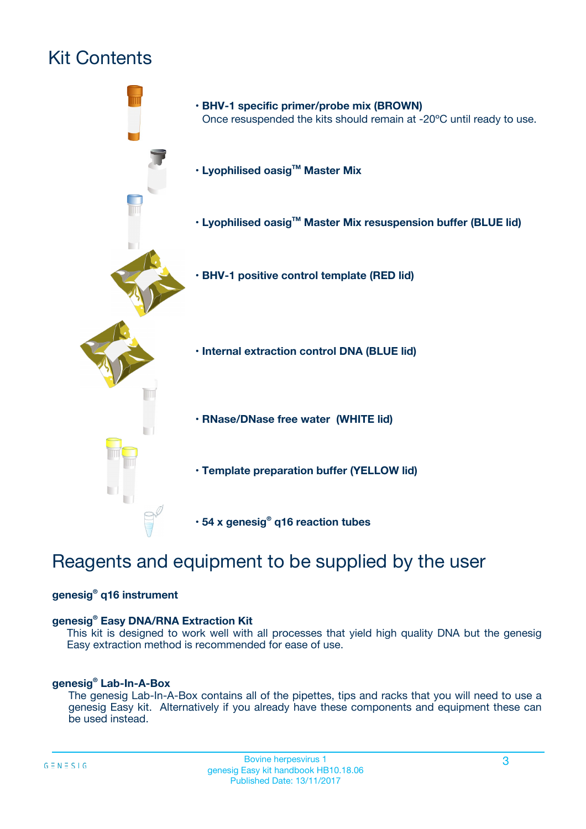## Kit Contents



## Reagents and equipment to be supplied by the user

### **genesig® q16 instrument**

### **genesig® Easy DNA/RNA Extraction Kit**

This kit is designed to work well with all processes that yield high quality DNA but the genesig Easy extraction method is recommended for ease of use.

### **genesig® Lab-In-A-Box**

The genesig Lab-In-A-Box contains all of the pipettes, tips and racks that you will need to use a genesig Easy kit. Alternatively if you already have these components and equipment these can be used instead.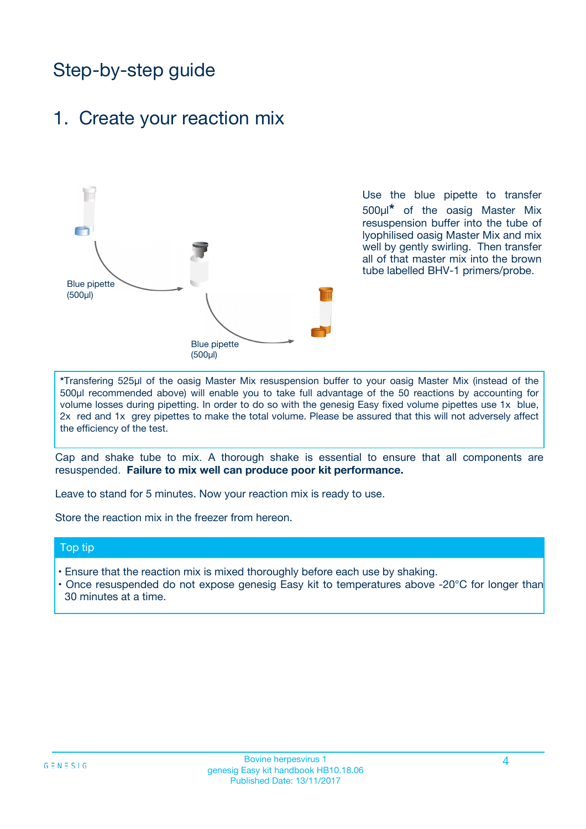## Step-by-step guide

## 1. Create your reaction mix



Use the blue pipette to transfer 500µl**\*** of the oasig Master Mix resuspension buffer into the tube of lyophilised oasig Master Mix and mix well by gently swirling. Then transfer all of that master mix into the brown tube labelled BHV-1 primers/probe.

**\***Transfering 525µl of the oasig Master Mix resuspension buffer to your oasig Master Mix (instead of the 500µl recommended above) will enable you to take full advantage of the 50 reactions by accounting for volume losses during pipetting. In order to do so with the genesig Easy fixed volume pipettes use 1x blue, 2x red and 1x grey pipettes to make the total volume. Please be assured that this will not adversely affect the efficiency of the test.

Cap and shake tube to mix. A thorough shake is essential to ensure that all components are resuspended. **Failure to mix well can produce poor kit performance.**

Leave to stand for 5 minutes. Now your reaction mix is ready to use.

Store the reaction mix in the freezer from hereon.

### Top tip

- Ensure that the reaction mix is mixed thoroughly before each use by shaking.
- Once resuspended do not expose genesig Easy kit to temperatures above -20°C for longer than 30 minutes at a time.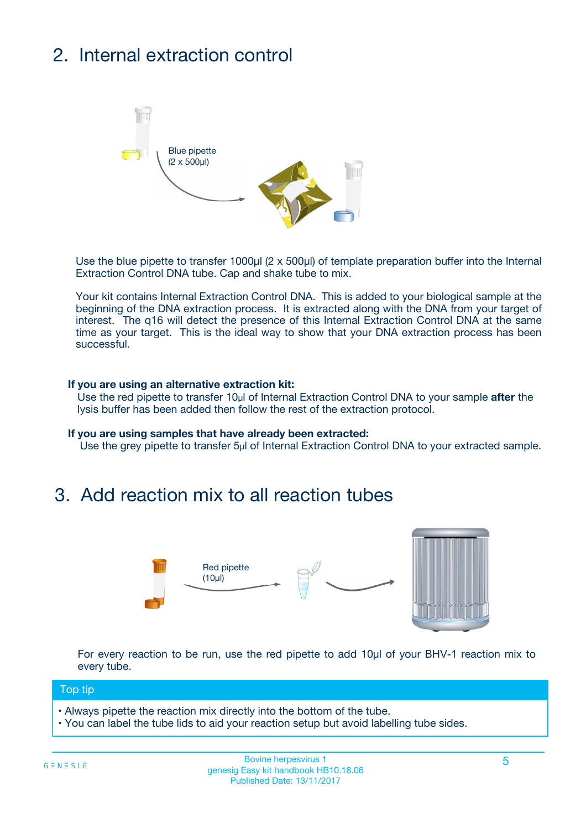## 2. Internal extraction control



Use the blue pipette to transfer 1000µl (2 x 500µl) of template preparation buffer into the Internal Extraction Control DNA tube. Cap and shake tube to mix.

Your kit contains Internal Extraction Control DNA. This is added to your biological sample at the beginning of the DNA extraction process. It is extracted along with the DNA from your target of interest. The q16 will detect the presence of this Internal Extraction Control DNA at the same time as your target. This is the ideal way to show that your DNA extraction process has been successful.

### **If you are using an alternative extraction kit:**

Use the red pipette to transfer 10µl of Internal Extraction Control DNA to your sample **after** the lysis buffer has been added then follow the rest of the extraction protocol.

#### **If you are using samples that have already been extracted:**

Use the grey pipette to transfer 5µl of Internal Extraction Control DNA to your extracted sample.

## 3. Add reaction mix to all reaction tubes



For every reaction to be run, use the red pipette to add 10µl of your BHV-1 reaction mix to every tube.

### Top tip

- Always pipette the reaction mix directly into the bottom of the tube.
- You can label the tube lids to aid your reaction setup but avoid labelling tube sides.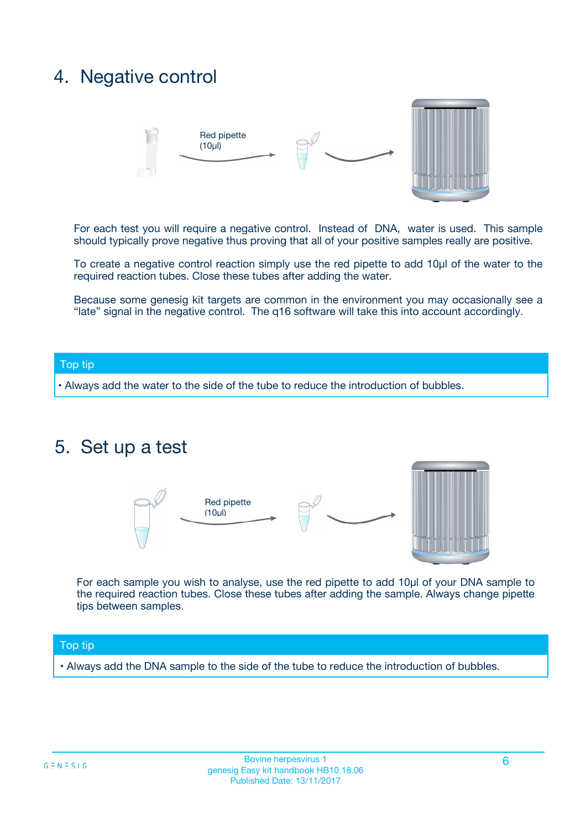## 4. Negative control



For each test you will require a negative control. Instead of DNA, water is used. This sample should typically prove negative thus proving that all of your positive samples really are positive.

To create a negative control reaction simply use the red pipette to add 10µl of the water to the required reaction tubes. Close these tubes after adding the water.

Because some genesig kit targets are common in the environment you may occasionally see a "late" signal in the negative control. The q16 software will take this into account accordingly.

### Top tip

**•** Always add the water to the side of the tube to reduce the introduction of bubbles.

## 5. Set up a test



For each sample you wish to analyse, use the red pipette to add 10µl of your DNA sample to the required reaction tubes. Close these tubes after adding the sample. Always change pipette tips between samples.

### Top tip

**•** Always add the DNA sample to the side of the tube to reduce the introduction of bubbles.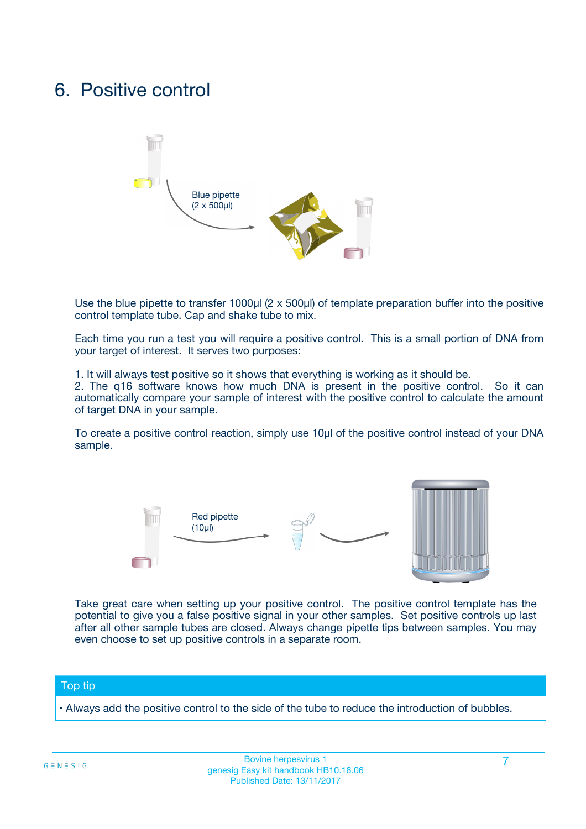## 6. Positive control



Use the blue pipette to transfer 1000µl (2 x 500µl) of template preparation buffer into the positive control template tube. Cap and shake tube to mix.

Each time you run a test you will require a positive control. This is a small portion of DNA from your target of interest. It serves two purposes:

1. It will always test positive so it shows that everything is working as it should be.

2. The q16 software knows how much DNA is present in the positive control. So it can automatically compare your sample of interest with the positive control to calculate the amount of target DNA in your sample.

To create a positive control reaction, simply use 10µl of the positive control instead of your DNA sample.



Take great care when setting up your positive control. The positive control template has the potential to give you a false positive signal in your other samples. Set positive controls up last after all other sample tubes are closed. Always change pipette tips between samples. You may even choose to set up positive controls in a separate room.

### Top tip

**•** Always add the positive control to the side of the tube to reduce the introduction of bubbles.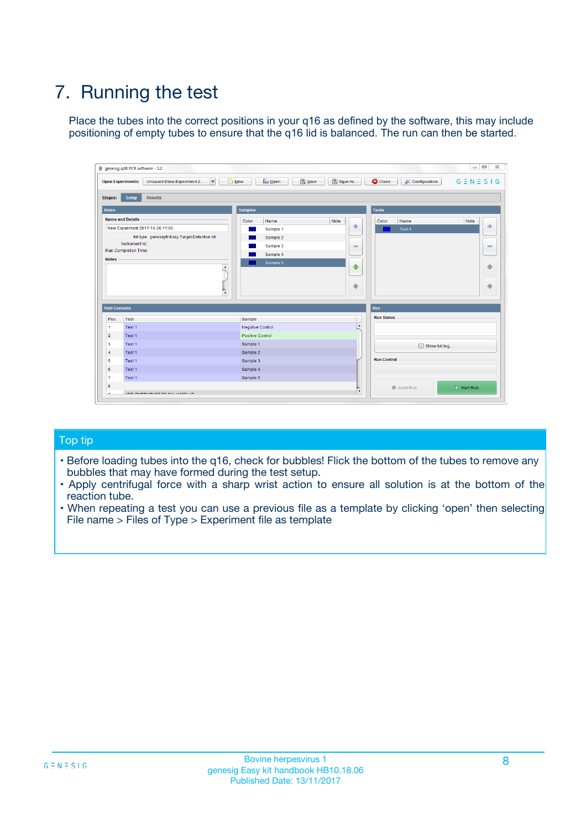## 7. Running the test

Place the tubes into the correct positions in your q16 as defined by the software, this may include positioning of empty tubes to ensure that the q16 lid is balanced. The run can then be started.

| genesig q16 PCR software - 1.2                        |                                                         | $\Box$                                                                                      |
|-------------------------------------------------------|---------------------------------------------------------|---------------------------------------------------------------------------------------------|
| <b>Open Experiments:</b><br>Unsaved (New Experiment 2 | <b>B</b> Open<br>$\Box$ New<br>$\overline{\phantom{a}}$ | Save<br>Save As<br>$G \equiv N \equiv S \mid G$<br><b>C</b> Close<br><b>X</b> Configuration |
| <b>Setup</b><br><b>Results</b><br><b>Stages:</b>      |                                                         |                                                                                             |
| <b>Notes</b>                                          | <b>Samples</b>                                          | <b>Tests</b>                                                                                |
| <b>Name and Details</b>                               | Color<br>Name                                           | Note<br>Note<br>Color<br>Name                                                               |
| New Experiment 2017-10-26 11:06                       | Sample 1                                                | $-$<br>علي<br>Test 1                                                                        |
| Kit type: genesig® Easy Target Detection kit          | Sample 2                                                |                                                                                             |
| Instrument Id.:                                       | Sample 3                                                | $\qquad \qquad \blacksquare$<br>$\qquad \qquad \blacksquare$                                |
| <b>Run Completion Time:</b><br><b>Notes</b>           | Sample 4                                                |                                                                                             |
|                                                       | Sample 5<br>$\blacktriangle$                            | $\triangle$<br>♠<br>⊕<br>⊕                                                                  |
| <b>Well Contents</b>                                  | $\overline{\mathbf{v}}$                                 | Run                                                                                         |
| Pos.<br>Test                                          | Sample                                                  | <b>Run Status</b>                                                                           |
| Test 1<br>$\overline{1}$                              | <b>Negative Control</b>                                 | A                                                                                           |
| $\overline{2}$<br>Test 1                              | Positive Control                                        |                                                                                             |
| $\overline{\mathbf{3}}$<br>Test 1                     | Sample 1                                                | Show full log                                                                               |
| Test 1<br>$\overline{4}$                              | Sample 2                                                |                                                                                             |
| 5<br>Test 1                                           | Sample 3                                                | <b>Run Control</b>                                                                          |
| 6<br>Test 1                                           | Sample 4                                                |                                                                                             |
| $\overline{7}$<br>Test 1                              | Sample 5                                                |                                                                                             |
| 8                                                     |                                                         | $\triangleright$ Start Run<br>Abort Run                                                     |
|                                                       | <b>JOD FURTY TUDE TO BUILDED IN</b>                     | v                                                                                           |

### Top tip

- Before loading tubes into the q16, check for bubbles! Flick the bottom of the tubes to remove any bubbles that may have formed during the test setup.
- Apply centrifugal force with a sharp wrist action to ensure all solution is at the bottom of the reaction tube.
- When repeating a test you can use a previous file as a template by clicking 'open' then selecting File name > Files of Type > Experiment file as template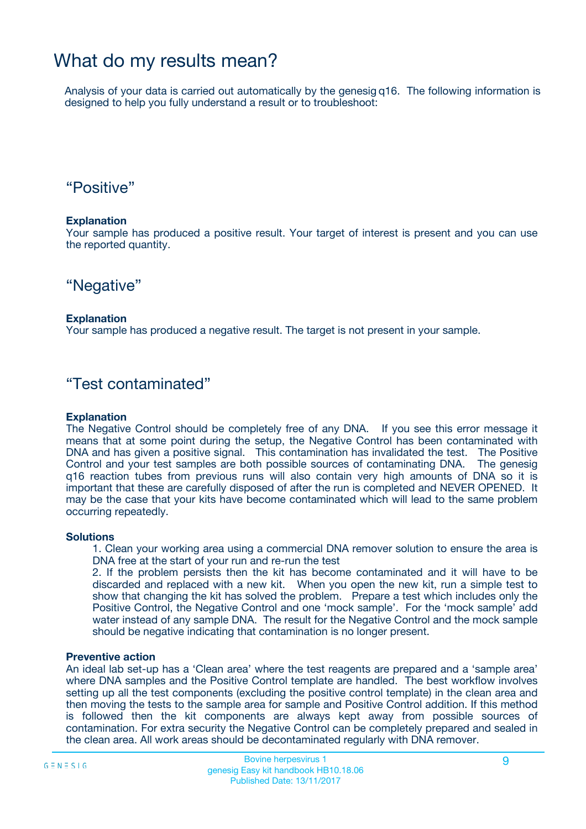## What do my results mean?

Analysis of your data is carried out automatically by the genesig q16. The following information is designed to help you fully understand a result or to troubleshoot:

## "Positive"

### **Explanation**

Your sample has produced a positive result. Your target of interest is present and you can use the reported quantity.

## "Negative"

### **Explanation**

Your sample has produced a negative result. The target is not present in your sample.

## "Test contaminated"

### **Explanation**

The Negative Control should be completely free of any DNA. If you see this error message it means that at some point during the setup, the Negative Control has been contaminated with DNA and has given a positive signal. This contamination has invalidated the test. The Positive Control and your test samples are both possible sources of contaminating DNA. The genesig q16 reaction tubes from previous runs will also contain very high amounts of DNA so it is important that these are carefully disposed of after the run is completed and NEVER OPENED. It may be the case that your kits have become contaminated which will lead to the same problem occurring repeatedly.

### **Solutions**

1. Clean your working area using a commercial DNA remover solution to ensure the area is DNA free at the start of your run and re-run the test

2. If the problem persists then the kit has become contaminated and it will have to be discarded and replaced with a new kit. When you open the new kit, run a simple test to show that changing the kit has solved the problem. Prepare a test which includes only the Positive Control, the Negative Control and one 'mock sample'. For the 'mock sample' add water instead of any sample DNA. The result for the Negative Control and the mock sample should be negative indicating that contamination is no longer present.

### **Preventive action**

An ideal lab set-up has a 'Clean area' where the test reagents are prepared and a 'sample area' where DNA samples and the Positive Control template are handled. The best workflow involves setting up all the test components (excluding the positive control template) in the clean area and then moving the tests to the sample area for sample and Positive Control addition. If this method is followed then the kit components are always kept away from possible sources of contamination. For extra security the Negative Control can be completely prepared and sealed in the clean area. All work areas should be decontaminated regularly with DNA remover.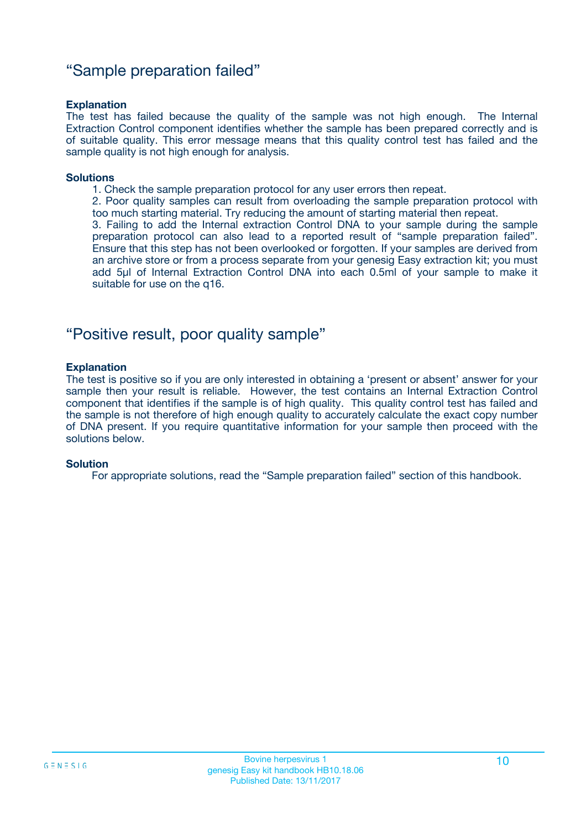## "Sample preparation failed"

### **Explanation**

The test has failed because the quality of the sample was not high enough. The Internal Extraction Control component identifies whether the sample has been prepared correctly and is of suitable quality. This error message means that this quality control test has failed and the sample quality is not high enough for analysis.

#### **Solutions**

1. Check the sample preparation protocol for any user errors then repeat.

2. Poor quality samples can result from overloading the sample preparation protocol with too much starting material. Try reducing the amount of starting material then repeat.

3. Failing to add the Internal extraction Control DNA to your sample during the sample preparation protocol can also lead to a reported result of "sample preparation failed". Ensure that this step has not been overlooked or forgotten. If your samples are derived from an archive store or from a process separate from your genesig Easy extraction kit; you must add 5µl of Internal Extraction Control DNA into each 0.5ml of your sample to make it suitable for use on the q16.

## "Positive result, poor quality sample"

### **Explanation**

The test is positive so if you are only interested in obtaining a 'present or absent' answer for your sample then your result is reliable. However, the test contains an Internal Extraction Control component that identifies if the sample is of high quality. This quality control test has failed and the sample is not therefore of high enough quality to accurately calculate the exact copy number of DNA present. If you require quantitative information for your sample then proceed with the solutions below.

### **Solution**

For appropriate solutions, read the "Sample preparation failed" section of this handbook.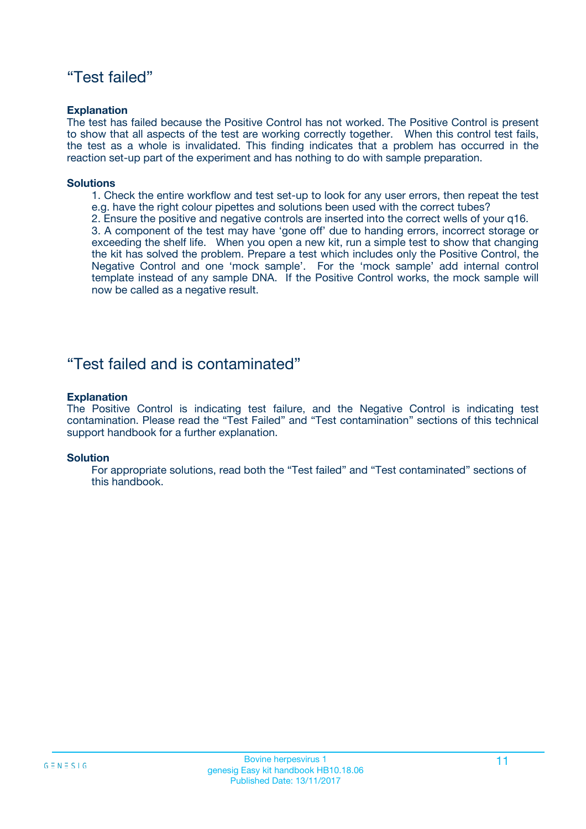## "Test failed"

### **Explanation**

The test has failed because the Positive Control has not worked. The Positive Control is present to show that all aspects of the test are working correctly together. When this control test fails, the test as a whole is invalidated. This finding indicates that a problem has occurred in the reaction set-up part of the experiment and has nothing to do with sample preparation.

### **Solutions**

- 1. Check the entire workflow and test set-up to look for any user errors, then repeat the test e.g. have the right colour pipettes and solutions been used with the correct tubes?
- 2. Ensure the positive and negative controls are inserted into the correct wells of your q16.

3. A component of the test may have 'gone off' due to handing errors, incorrect storage or exceeding the shelf life. When you open a new kit, run a simple test to show that changing the kit has solved the problem. Prepare a test which includes only the Positive Control, the Negative Control and one 'mock sample'. For the 'mock sample' add internal control template instead of any sample DNA. If the Positive Control works, the mock sample will now be called as a negative result.

## "Test failed and is contaminated"

### **Explanation**

The Positive Control is indicating test failure, and the Negative Control is indicating test contamination. Please read the "Test Failed" and "Test contamination" sections of this technical support handbook for a further explanation.

### **Solution**

For appropriate solutions, read both the "Test failed" and "Test contaminated" sections of this handbook.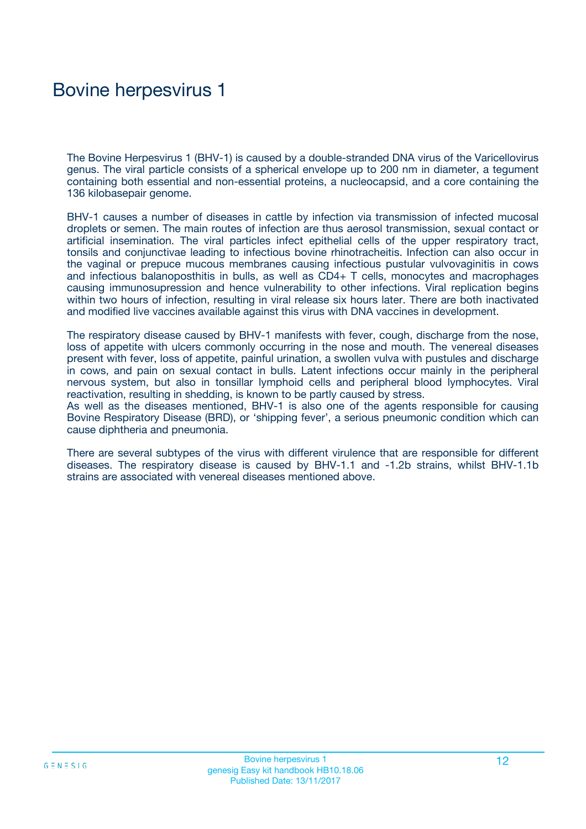## Bovine herpesvirus 1

The Bovine Herpesvirus 1 (BHV-1) is caused by a double-stranded DNA virus of the Varicellovirus genus. The viral particle consists of a spherical envelope up to 200 nm in diameter, a tegument containing both essential and non-essential proteins, a nucleocapsid, and a core containing the 136 kilobasepair genome.

BHV-1 causes a number of diseases in cattle by infection via transmission of infected mucosal droplets or semen. The main routes of infection are thus aerosol transmission, sexual contact or artificial insemination. The viral particles infect epithelial cells of the upper respiratory tract, tonsils and conjunctivae leading to infectious bovine rhinotracheitis. Infection can also occur in the vaginal or prepuce mucous membranes causing infectious pustular vulvovaginitis in cows and infectious balanoposthitis in bulls, as well as CD4+ T cells, monocytes and macrophages causing immunosupression and hence vulnerability to other infections. Viral replication begins within two hours of infection, resulting in viral release six hours later. There are both inactivated and modified live vaccines available against this virus with DNA vaccines in development.

The respiratory disease caused by BHV-1 manifests with fever, cough, discharge from the nose, loss of appetite with ulcers commonly occurring in the nose and mouth. The venereal diseases present with fever, loss of appetite, painful urination, a swollen vulva with pustules and discharge in cows, and pain on sexual contact in bulls. Latent infections occur mainly in the peripheral nervous system, but also in tonsillar lymphoid cells and peripheral blood lymphocytes. Viral reactivation, resulting in shedding, is known to be partly caused by stress.

As well as the diseases mentioned, BHV-1 is also one of the agents responsible for causing Bovine Respiratory Disease (BRD), or 'shipping fever', a serious pneumonic condition which can cause diphtheria and pneumonia.

There are several subtypes of the virus with different virulence that are responsible for different diseases. The respiratory disease is caused by BHV-1.1 and -1.2b strains, whilst BHV-1.1b strains are associated with venereal diseases mentioned above.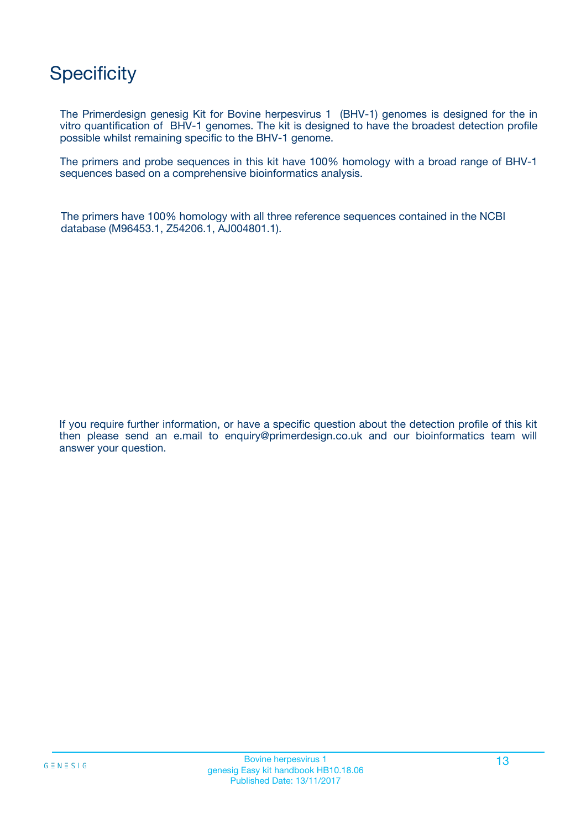## **Specificity**

The Primerdesign genesig Kit for Bovine herpesvirus 1 (BHV-1) genomes is designed for the in vitro quantification of BHV-1 genomes. The kit is designed to have the broadest detection profile possible whilst remaining specific to the BHV-1 genome.

The primers and probe sequences in this kit have 100% homology with a broad range of BHV-1 sequences based on a comprehensive bioinformatics analysis.

The primers have 100% homology with all three reference sequences contained in the NCBI database (M96453.1, Z54206.1, AJ004801.1).

If you require further information, or have a specific question about the detection profile of this kit then please send an e.mail to enquiry@primerdesign.co.uk and our bioinformatics team will answer your question.